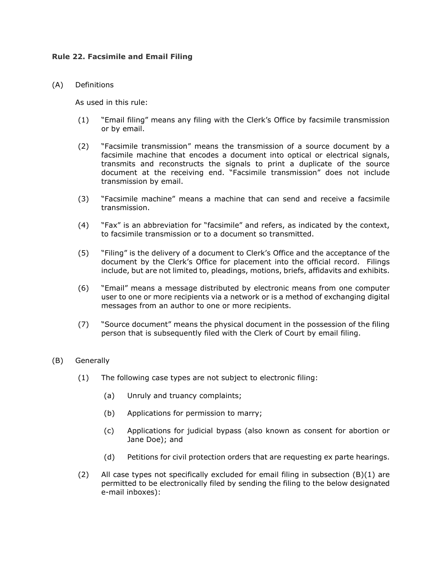# **Rule 22. Facsimile and Email Filing**

# (A) Definitions

As used in this rule:

- (1) "Email filing" means any filing with the Clerk's Office by facsimile transmission or by email.
- (2) "Facsimile transmission" means the transmission of a source document by a facsimile machine that encodes a document into optical or electrical signals, transmits and reconstructs the signals to print a duplicate of the source document at the receiving end. "Facsimile transmission" does not include transmission by email.
- (3) "Facsimile machine" means a machine that can send and receive a facsimile transmission.
- (4) "Fax" is an abbreviation for "facsimile" and refers, as indicated by the context, to facsimile transmission or to a document so transmitted.
- (5) "Filing" is the delivery of a document to Clerk's Office and the acceptance of the document by the Clerk's Office for placement into the official record. Filings include, but are not limited to, pleadings, motions, briefs, affidavits and exhibits.
- (6) "Email" means a message distributed by electronic means from one computer user to one or more recipients via a network or is a method of exchanging digital messages from an author to one or more recipients.
- (7) "Source document" means the physical document in the possession of the filing person that is subsequently filed with the Clerk of Court by email filing.

# (B) Generally

- (1) The following case types are not subject to electronic filing:
	- (a) Unruly and truancy complaints;
	- (b) Applications for permission to marry;
	- (c) Applications for judicial bypass (also known as consent for abortion or Jane Doe); and
	- (d) Petitions for civil protection orders that are requesting ex parte hearings.
- (2) All case types not specifically excluded for email filing in subsection  $(B)(1)$  are permitted to be electronically filed by sending the filing to the below designated e-mail inboxes):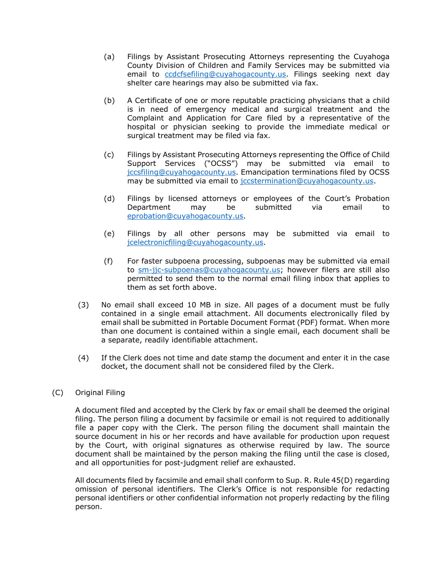- (a) Filings by Assistant Prosecuting Attorneys representing the Cuyahoga County Division of Children and Family Services may be submitted via email to ccdcfsefiling@cuyahogacounty.us. Filings seeking next day shelter care hearings may also be submitted via fax.
- (b) A Certificate of one or more reputable practicing physicians that a child is in need of emergency medical and surgical treatment and the Complaint and Application for Care filed by a representative of the hospital or physician seeking to provide the immediate medical or surgical treatment may be filed via fax.
- (c) Filings by Assistant Prosecuting Attorneys representing the Office of Child Support Services ("OCSS") may be submitted via email to jccsfiling@cuyahogacounty.us. Emancipation terminations filed by OCSS may be submitted via email to jccstermination@cuyahogacounty.us.
- (d) Filings by licensed attorneys or employees of the Court's Probation Department may be submitted via email to eprobation@cuyahogacounty.us.
- (e) Filings by all other persons may be submitted via email to jcelectronicfiling@cuyahogacounty.us.
- (f) For faster subpoena processing, subpoenas may be submitted via email to sm-jjc-subpoenas@cuyahogacounty.us; however filers are still also permitted to send them to the normal email filing inbox that applies to them as set forth above.
- (3) No email shall exceed 10 MB in size. All pages of a document must be fully contained in a single email attachment. All documents electronically filed by email shall be submitted in Portable Document Format (PDF) format. When more than one document is contained within a single email, each document shall be a separate, readily identifiable attachment.
- (4) If the Clerk does not time and date stamp the document and enter it in the case docket, the document shall not be considered filed by the Clerk.

# (C) Original Filing

A document filed and accepted by the Clerk by fax or email shall be deemed the original filing. The person filing a document by facsimile or email is not required to additionally file a paper copy with the Clerk. The person filing the document shall maintain the source document in his or her records and have available for production upon request by the Court, with original signatures as otherwise required by law. The source document shall be maintained by the person making the filing until the case is closed, and all opportunities for post-judgment relief are exhausted.

All documents filed by facsimile and email shall conform to Sup. R. Rule 45(D) regarding omission of personal identifiers. The Clerk's Office is not responsible for redacting personal identifiers or other confidential information not properly redacting by the filing person.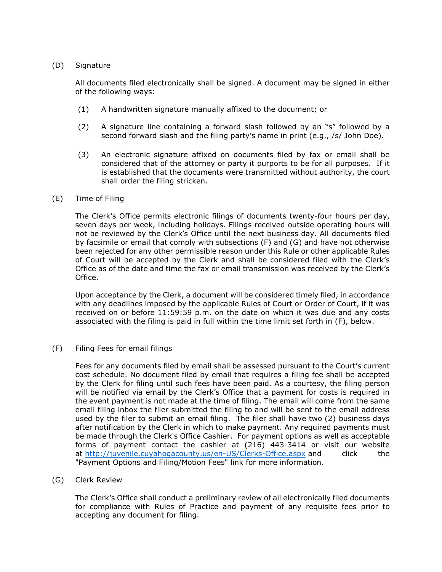## (D) Signature

All documents filed electronically shall be signed. A document may be signed in either of the following ways:

- (1) A handwritten signature manually affixed to the document; or
- (2) A signature line containing a forward slash followed by an "s" followed by a second forward slash and the filing party's name in print (e.g., /s/ John Doe).
- (3) An electronic signature affixed on documents filed by fax or email shall be considered that of the attorney or party it purports to be for all purposes. If it is established that the documents were transmitted without authority, the court shall order the filing stricken.

#### (E) Time of Filing

The Clerk's Office permits electronic filings of documents twenty-four hours per day, seven days per week, including holidays. Filings received outside operating hours will not be reviewed by the Clerk's Office until the next business day. All documents filed by facsimile or email that comply with subsections (F) and (G) and have not otherwise been rejected for any other permissible reason under this Rule or other applicable Rules of Court will be accepted by the Clerk and shall be considered filed with the Clerk's Office as of the date and time the fax or email transmission was received by the Clerk's Office.

Upon acceptance by the Clerk, a document will be considered timely filed, in accordance with any deadlines imposed by the applicable Rules of Court or Order of Court, if it was received on or before 11:59:59 p.m. on the date on which it was due and any costs associated with the filing is paid in full within the time limit set forth in (F), below.

# (F) Filing Fees for email filings

Fees for any documents filed by email shall be assessed pursuant to the Court's current cost schedule. No document filed by email that requires a filing fee shall be accepted by the Clerk for filing until such fees have been paid. As a courtesy, the filing person will be notified via email by the Clerk's Office that a payment for costs is required in the event payment is not made at the time of filing. The email will come from the same email filing inbox the filer submitted the filing to and will be sent to the email address used by the filer to submit an email filing. The filer shall have two (2) business days after notification by the Clerk in which to make payment. Any required payments must be made through the Clerk's Office Cashier. For payment options as well as acceptable forms of payment contact the cashier at (216) 443-3414 or visit our website at http://juvenile.cuyahogacounty.us/en-US/Clerks-Office.aspx and click the "Payment Options and Filing/Motion Fees" link for more information.

# (G) Clerk Review

The Clerk's Office shall conduct a preliminary review of all electronically filed documents for compliance with Rules of Practice and payment of any requisite fees prior to accepting any document for filing.